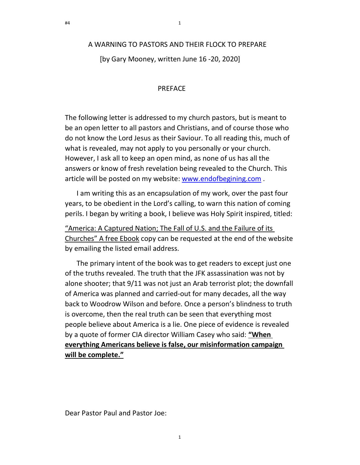# A WARNING TO PASTORS AND THEIR FLOCK TO PREPARE

1

[by Gary Mooney, written June 16 -20, 2020]

## **PRFFACE**

The following letter is addressed to my church pastors, but is meant to be an open letter to all pastors and Christians, and of course those who do not know the Lord Jesus as their Saviour. To all reading this, much of what is revealed, may not apply to you personally or your church. However, I ask all to keep an open mind, as none of us has all the answers or know of fresh revelation being revealed to the Church. This article will be posted on my website: www.endofbegining.com .

I am writing this as an encapsulation of my work, over the past four years, to be obedient in the Lord's calling, to warn this nation of coming perils. I began by writing a book, I believe was Holy Spirit inspired, titled:

"America: A Captured Nation; The Fall of U.S. and the Failure of its Churches" A free Ebook copy can be requested at the end of the website by emailing the listed email address.

The primary intent of the book was to get readers to except just one of the truths revealed. The truth that the JFK assassination was not by alone shooter; that 9/11 was not just an Arab terrorist plot; the downfall of America was planned and carried-out for many decades, all the way back to Woodrow Wilson and before. Once a person's blindness to truth is overcome, then the real truth can be seen that everything most people believe about America is a lie. One piece of evidence is revealed by a quote of former CIA director William Casey who said: "When everything Americans believe is false, our misinformation campaign will be complete."

Dear Pastor Paul and Pastor Joe: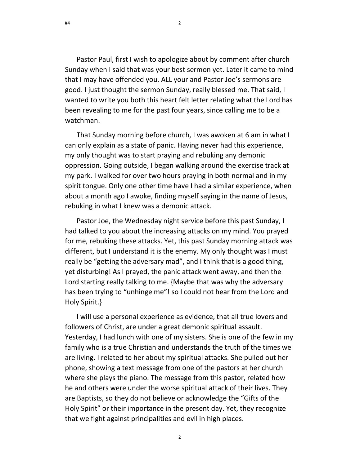Pastor Paul, first I wish to apologize about by comment after church Sunday when I said that was your best sermon yet. Later it came to mind that I may have offended you. ALL your and Pastor Joe's sermons are good. I just thought the sermon Sunday, really blessed me. That said, I wanted to write you both this heart felt letter relating what the Lord has been revealing to me for the past four years, since calling me to be a watchman.

That Sunday morning before church, I was awoken at 6 am in what I can only explain as a state of panic. Having never had this experience, my only thought was to start praying and rebuking any demonic oppression. Going outside, I began walking around the exercise track at my park. I walked for over two hours praying in both normal and in my spirit tongue. Only one other time have I had a similar experience, when about a month ago I awoke, finding myself saying in the name of Jesus, rebuking in what I knew was a demonic attack.

Pastor Joe, the Wednesday night service before this past Sunday, I had talked to you about the increasing attacks on my mind. You prayed for me, rebuking these attacks. Yet, this past Sunday morning attack was different, but I understand it is the enemy. My only thought was I must really be "getting the adversary mad", and I think that is a good thing, yet disturbing! As I prayed, the panic attack went away, and then the Lord starting really talking to me. {Maybe that was why the adversary has been trying to "unhinge me"! so I could not hear from the Lord and Holy Spirit.}

I will use a personal experience as evidence, that all true lovers and followers of Christ, are under a great demonic spiritual assault. Yesterday, I had lunch with one of my sisters. She is one of the few in my family who is a true Christian and understands the truth of the times we are living. I related to her about my spiritual attacks. She pulled out her phone, showing a text message from one of the pastors at her church where she plays the piano. The message from this pastor, related how he and others were under the worse spiritual attack of their lives. They are Baptists, so they do not believe or acknowledge the "Gifts of the Holy Spirit" or their importance in the present day. Yet, they recognize that we fight against principalities and evil in high places.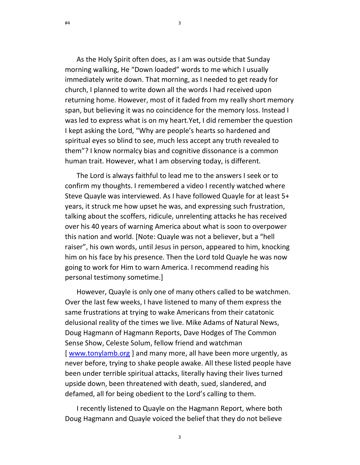As the Holy Spirit often does, as I am was outside that Sunday morning walking, He "Down loaded" words to me which I usually immediately write down. That morning, as I needed to get ready for church, I planned to write down all the words I had received upon returning home. However, most of it faded from my really short memory span, but believing it was no coincidence for the memory loss. Instead I was led to express what is on my heart.Yet, I did remember the question I kept asking the Lord, "Why are people's hearts so hardened and spiritual eyes so blind to see, much less accept any truth revealed to them"? I know normalcy bias and cognitive dissonance is a common human trait. However, what I am observing today, is different.

3

The Lord is always faithful to lead me to the answers I seek or to confirm my thoughts. I remembered a video I recently watched where Steve Quayle was interviewed. As I have followed Quayle for at least 5+ years, it struck me how upset he was, and expressing such frustration, talking about the scoffers, ridicule, unrelenting attacks he has received over his 40 years of warning America about what is soon to overpower this nation and world. [Note: Quayle was not a believer, but a "hell raiser", his own words, until Jesus in person, appeared to him, knocking him on his face by his presence. Then the Lord told Quayle he was now going to work for Him to warn America. I recommend reading his personal testimony sometime.]

However, Quayle is only one of many others called to be watchmen. Over the last few weeks, I have listened to many of them express the same frustrations at trying to wake Americans from their catatonic delusional reality of the times we live. Mike Adams of Natural News, Doug Hagmann of Hagmann Reports, Dave Hodges of The Common Sense Show, Celeste Solum, fellow friend and watchman [ www.tonylamb.org ] and many more, all have been more urgently, as never before, trying to shake people awake. All these listed people have been under terrible spiritual attacks, literally having their lives turned upside down, been threatened with death, sued, slandered, and defamed, all for being obedient to the Lord's calling to them.

I recently listened to Quayle on the Hagmann Report, where both Doug Hagmann and Quayle voiced the belief that they do not believe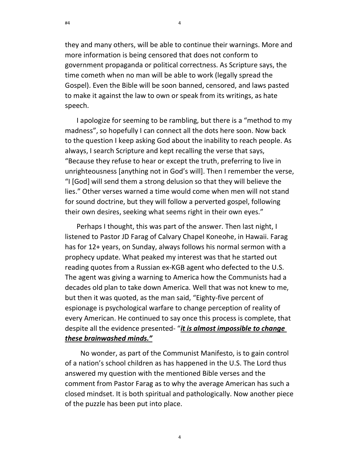they and many others, will be able to continue their warnings. More and more information is being censored that does not conform to government propaganda or political correctness. As Scripture says, the time cometh when no man will be able to work (legally spread the Gospel). Even the Bible will be soon banned, censored, and laws pasted to make it against the law to own or speak from its writings, as hate speech.

I apologize for seeming to be rambling, but there is a "method to my madness", so hopefully I can connect all the dots here soon. Now back to the question I keep asking God about the inability to reach people. As always, I search Scripture and kept recalling the verse that says, "Because they refuse to hear or except the truth, preferring to live in unrighteousness [anything not in God's will]. Then I remember the verse, "I [God] will send them a strong delusion so that they will believe the lies." Other verses warned a time would come when men will not stand for sound doctrine, but they will follow a perverted gospel, following their own desires, seeking what seems right in their own eyes."

Perhaps I thought, this was part of the answer. Then last night, I listened to Pastor JD Farag of Calvary Chapel Koneohe, in Hawaii. Farag has for 12+ years, on Sunday, always follows his normal sermon with a prophecy update. What peaked my interest was that he started out reading quotes from a Russian ex-KGB agent who defected to the U.S. The agent was giving a warning to America how the Communists had a decades old plan to take down America. Well that was not knew to me, but then it was quoted, as the man said, "Eighty-five percent of espionage is psychological warfare to change perception of reality of every American. He continued to say once this process is complete, that despite all the evidence presented- "it is almost impossible to change these brainwashed minds."

 No wonder, as part of the Communist Manifesto, is to gain control of a nation's school children as has happened in the U.S. The Lord thus answered my question with the mentioned Bible verses and the comment from Pastor Farag as to why the average American has such a closed mindset. It is both spiritual and pathologically. Now another piece of the puzzle has been put into place.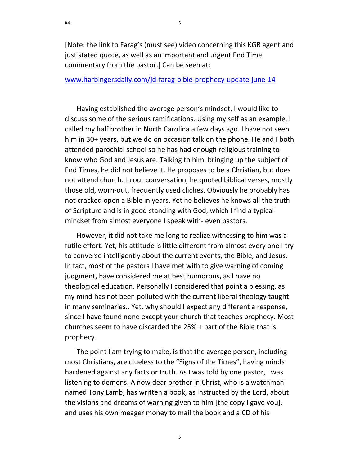[Note: the link to Farag's (must see) video concerning this KGB agent and just stated quote, as well as an important and urgent End Time commentary from the pastor.] Can be seen at:

www.harbingersdaily.com/jd-farag-bible-prophecy-update-june-14

Having established the average person's mindset, I would like to discuss some of the serious ramifications. Using my self as an example, I called my half brother in North Carolina a few days ago. I have not seen him in 30+ years, but we do on occasion talk on the phone. He and I both attended parochial school so he has had enough religious training to know who God and Jesus are. Talking to him, bringing up the subject of End Times, he did not believe it. He proposes to be a Christian, but does not attend church. In our conversation, he quoted biblical verses, mostly those old, worn-out, frequently used cliches. Obviously he probably has not cracked open a Bible in years. Yet he believes he knows all the truth of Scripture and is in good standing with God, which I find a typical mindset from almost everyone I speak with- even pastors.

However, it did not take me long to realize witnessing to him was a futile effort. Yet, his attitude is little different from almost every one I try to converse intelligently about the current events, the Bible, and Jesus. In fact, most of the pastors I have met with to give warning of coming judgment, have considered me at best humorous, as I have no theological education. Personally I considered that point a blessing, as my mind has not been polluted with the current liberal theology taught in many seminaries.. Yet, why should I expect any different a response, since I have found none except your church that teaches prophecy. Most churches seem to have discarded the 25% + part of the Bible that is prophecy.

The point I am trying to make, is that the average person, including most Christians, are clueless to the "Signs of the Times", having minds hardened against any facts or truth. As I was told by one pastor, I was listening to demons. A now dear brother in Christ, who is a watchman named Tony Lamb, has written a book, as instructed by the Lord, about the visions and dreams of warning given to him [the copy I gave you], and uses his own meager money to mail the book and a CD of his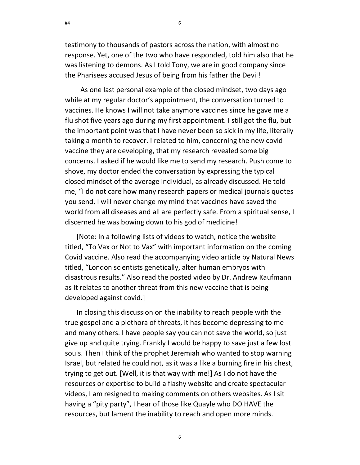testimony to thousands of pastors across the nation, with almost no response. Yet, one of the two who have responded, told him also that he was listening to demons. As I told Tony, we are in good company since the Pharisees accused Jesus of being from his father the Devil!

6

 As one last personal example of the closed mindset, two days ago while at my regular doctor's appointment, the conversation turned to vaccines. He knows I will not take anymore vaccines since he gave me a flu shot five years ago during my first appointment. I still got the flu, but the important point was that I have never been so sick in my life, literally taking a month to recover. I related to him, concerning the new covid vaccine they are developing, that my research revealed some big concerns. I asked if he would like me to send my research. Push come to shove, my doctor ended the conversation by expressing the typical closed mindset of the average individual, as already discussed. He told me, "I do not care how many research papers or medical journals quotes you send, I will never change my mind that vaccines have saved the world from all diseases and all are perfectly safe. From a spiritual sense, I discerned he was bowing down to his god of medicine!

[Note: In a following lists of videos to watch, notice the website titled, "To Vax or Not to Vax" with important information on the coming Covid vaccine. Also read the accompanying video article by Natural News titled, "London scientists genetically, alter human embryos with disastrous results." Also read the posted video by Dr. Andrew Kaufmann as It relates to another threat from this new vaccine that is being developed against covid.]

In closing this discussion on the inability to reach people with the true gospel and a plethora of threats, it has become depressing to me and many others. I have people say you can not save the world, so just give up and quite trying. Frankly I would be happy to save just a few lost souls. Then I think of the prophet Jeremiah who wanted to stop warning Israel, but related he could not, as it was a like a burning fire in his chest, trying to get out. [Well, it is that way with me!] As I do not have the resources or expertise to build a flashy website and create spectacular videos, I am resigned to making comments on others websites. As I sit having a "pity party", I hear of those like Quayle who DO HAVE the resources, but lament the inability to reach and open more minds.

#4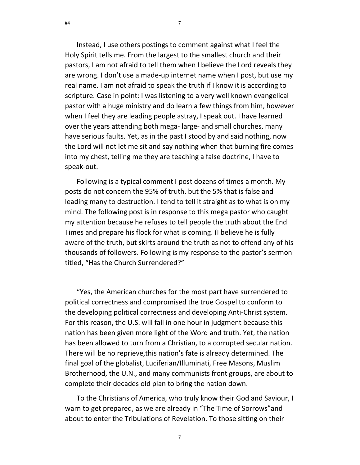Instead, I use others postings to comment against what I feel the Holy Spirit tells me. From the largest to the smallest church and their pastors, I am not afraid to tell them when I believe the Lord reveals they are wrong. I don't use a made-up internet name when I post, but use my real name. I am not afraid to speak the truth if I know it is according to scripture. Case in point: I was listening to a very well known evangelical pastor with a huge ministry and do learn a few things from him, however when I feel they are leading people astray, I speak out. I have learned over the years attending both mega- large- and small churches, many have serious faults. Yet, as in the past I stood by and said nothing, now the Lord will not let me sit and say nothing when that burning fire comes into my chest, telling me they are teaching a false doctrine, I have to speak-out.

7

Following is a typical comment I post dozens of times a month. My posts do not concern the 95% of truth, but the 5% that is false and leading many to destruction. I tend to tell it straight as to what is on my mind. The following post is in response to this mega pastor who caught my attention because he refuses to tell people the truth about the End Times and prepare his flock for what is coming. (I believe he is fully aware of the truth, but skirts around the truth as not to offend any of his thousands of followers. Following is my response to the pastor's sermon titled, "Has the Church Surrendered?"

"Yes, the American churches for the most part have surrendered to political correctness and compromised the true Gospel to conform to the developing political correctness and developing Anti-Christ system. For this reason, the U.S. will fall in one hour in judgment because this nation has been given more light of the Word and truth. Yet, the nation has been allowed to turn from a Christian, to a corrupted secular nation. There will be no reprieve,this nation's fate is already determined. The final goal of the globalist, Luciferian/Illuminati, Free Masons, Muslim Brotherhood, the U.N., and many communists front groups, are about to complete their decades old plan to bring the nation down.

To the Christians of America, who truly know their God and Saviour, I warn to get prepared, as we are already in "The Time of Sorrows"and about to enter the Tribulations of Revelation. To those sitting on their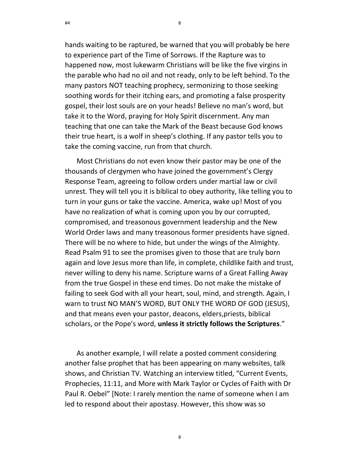hands waiting to be raptured, be warned that you will probably be here to experience part of the Time of Sorrows. If the Rapture was to happened now, most lukewarm Christians will be like the five virgins in the parable who had no oil and not ready, only to be left behind. To the many pastors NOT teaching prophecy, sermonizing to those seeking soothing words for their itching ears, and promoting a false prosperity gospel, their lost souls are on your heads! Believe no man's word, but take it to the Word, praying for Holy Spirit discernment. Any man teaching that one can take the Mark of the Beast because God knows their true heart, is a wolf in sheep's clothing. If any pastor tells you to take the coming vaccine, run from that church.

Most Christians do not even know their pastor may be one of the thousands of clergymen who have joined the government's Clergy Response Team, agreeing to follow orders under martial law or civil unrest. They will tell you it is biblical to obey authority, like telling you to turn in your guns or take the vaccine. America, wake up! Most of you have no realization of what is coming upon you by our corrupted, compromised, and treasonous government leadership and the New World Order laws and many treasonous former presidents have signed. There will be no where to hide, but under the wings of the Almighty. Read Psalm 91 to see the promises given to those that are truly born again and love Jesus more than life, in complete, childlike faith and trust, never willing to deny his name. Scripture warns of a Great Falling Away from the true Gospel in these end times. Do not make the mistake of failing to seek God with all your heart, soul, mind, and strength. Again, I warn to trust NO MAN'S WORD, BUT ONLY THE WORD OF GOD (JESUS), and that means even your pastor, deacons, elders,priests, biblical scholars, or the Pope's word, unless it strictly follows the Scriptures."

As another example, I will relate a posted comment considering another false prophet that has been appearing on many websites, talk shows, and Christian TV. Watching an interview titled, "Current Events, Prophecies, 11:11, and More with Mark Taylor or Cycles of Faith with Dr Paul R. Oebel" [Note: I rarely mention the name of someone when I am led to respond about their apostasy. However, this show was so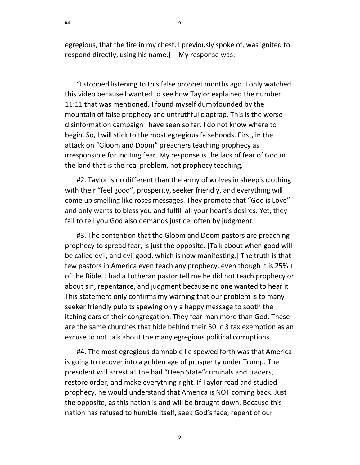egregious, that the fire in my chest, I previously spoke of, was ignited to respond directly, using his name.] My response was:

"I stopped listening to this false prophet months ago. I only watched this video because I wanted to see how Taylor explained the number 11:11 that was mentioned. I found myself dumbfounded by the mountain of false prophecy and untruthful claptrap. This is the worse disinformation campaign I have seen so far. I do not know where to begin. So, I will stick to the most egregious falsehoods. First, in the attack on "Gloom and Doom" preachers teaching prophecy as irresponsible for inciting fear. My response is the lack of fear of God in the land that is the real problem, not prophecy teaching.

#2. Taylor is no different than the army of wolves in sheep's clothing with their "feel good", prosperity, seeker friendly, and everything will come up smelling like roses messages. They promote that "God is Love" and only wants to bless you and fulfill all your heart's desires. Yet, they fail to tell you God also demands justice, often by judgment.

#3. The contention that the Gloom and Doom pastors are preaching prophecy to spread fear, is just the opposite. [Talk about when good will be called evil, and evil good, which is now manifesting.] The truth is that few pastors in America even teach any prophecy, even though it is 25% + of the Bible. I had a Lutheran pastor tell me he did not teach prophecy or about sin, repentance, and judgment because no one wanted to hear it! This statement only confirms my warning that our problem is to many seeker friendly pulpits spewing only a happy message to sooth the itching ears of their congregation. They fear man more than God. These are the same churches that hide behind their 501c 3 tax exemption as an excuse to not talk about the many egregious political corruptions.

#4. The most egregious damnable lie spewed forth was that America is going to recover into a golden age of prosperity under Trump. The president will arrest all the bad "Deep State"criminals and traders, restore order, and make everything right. If Taylor read and studied prophecy, he would understand that America is NOT coming back. Just the opposite, as this nation is and will be brought down. Because this nation has refused to humble itself, seek God's face, repent of our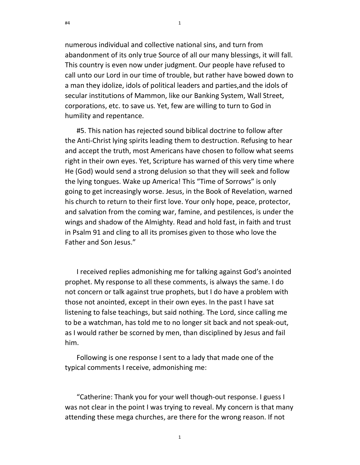numerous individual and collective national sins, and turn from abandonment of its only true Source of all our many blessings, it will fall. This country is even now under judgment. Our people have refused to call unto our Lord in our time of trouble, but rather have bowed down to a man they idolize, idols of political leaders and parties,and the idols of secular institutions of Mammon, like our Banking System, Wall Street, corporations, etc. to save us. Yet, few are willing to turn to God in humility and repentance.

10

#5. This nation has rejected sound biblical doctrine to follow after the Anti-Christ lying spirits leading them to destruction. Refusing to hear and accept the truth, most Americans have chosen to follow what seems right in their own eyes. Yet, Scripture has warned of this very time where He (God) would send a strong delusion so that they will seek and follow the lying tongues. Wake up America! This "Time of Sorrows" is only going to get increasingly worse. Jesus, in the Book of Revelation, warned his church to return to their first love. Your only hope, peace, protector, and salvation from the coming war, famine, and pestilences, is under the wings and shadow of the Almighty. Read and hold fast, in faith and trust in Psalm 91 and cling to all its promises given to those who love the Father and Son Jesus."

I received replies admonishing me for talking against God's anointed prophet. My response to all these comments, is always the same. I do not concern or talk against true prophets, but I do have a problem with those not anointed, except in their own eyes. In the past I have sat listening to false teachings, but said nothing. The Lord, since calling me to be a watchman, has told me to no longer sit back and not speak-out, as I would rather be scorned by men, than disciplined by Jesus and fail him.

Following is one response I sent to a lady that made one of the typical comments I receive, admonishing me:

"Catherine: Thank you for your well though-out response. I guess I was not clear in the point I was trying to reveal. My concern is that many attending these mega churches, are there for the wrong reason. If not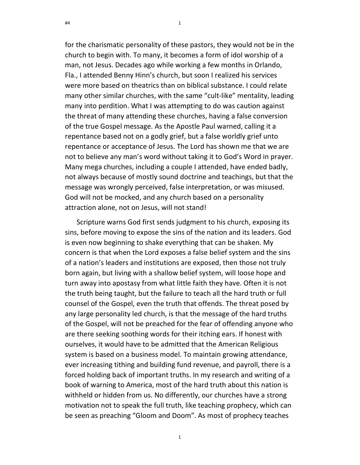for the charismatic personality of these pastors, they would not be in the church to begin with. To many, it becomes a form of idol worship of a man, not Jesus. Decades ago while working a few months in Orlando, Fla., I attended Benny Hinn's church, but soon I realized his services were more based on theatrics than on biblical substance. I could relate many other similar churches, with the same "cult-like" mentality, leading many into perdition. What I was attempting to do was caution against the threat of many attending these churches, having a false conversion of the true Gospel message. As the Apostle Paul warned, calling it a repentance based not on a godly grief, but a false worldly grief unto repentance or acceptance of Jesus. The Lord has shown me that we are not to believe any man's word without taking it to God's Word in prayer. Many mega churches, including a couple I attended, have ended badly, not always because of mostly sound doctrine and teachings, but that the message was wrongly perceived, false interpretation, or was misused. God will not be mocked, and any church based on a personality attraction alone, not on Jesus, will not stand!

11

Scripture warns God first sends judgment to his church, exposing its sins, before moving to expose the sins of the nation and its leaders. God is even now beginning to shake everything that can be shaken. My concern is that when the Lord exposes a false belief system and the sins of a nation's leaders and institutions are exposed, then those not truly born again, but living with a shallow belief system, will loose hope and turn away into apostasy from what little faith they have. Often it is not the truth being taught, but the failure to teach all the hard truth or full counsel of the Gospel, even the truth that offends. The threat posed by any large personality led church, is that the message of the hard truths of the Gospel, will not be preached for the fear of offending anyone who are there seeking soothing words for their itching ears. If honest with ourselves, it would have to be admitted that the American Religious system is based on a business model. To maintain growing attendance, ever increasing tithing and building fund revenue, and payroll, there is a forced holding back of important truths. In my research and writing of a book of warning to America, most of the hard truth about this nation is withheld or hidden from us. No differently, our churches have a strong motivation not to speak the full truth, like teaching prophecy, which can be seen as preaching "Gloom and Doom". As most of prophecy teaches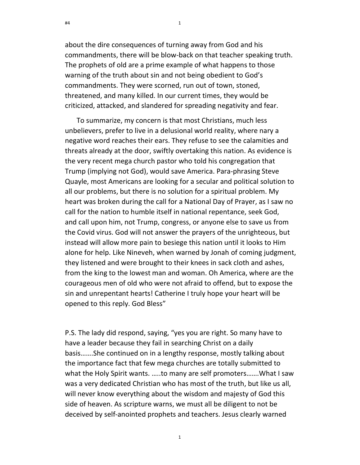about the dire consequences of turning away from God and his commandments, there will be blow-back on that teacher speaking truth. The prophets of old are a prime example of what happens to those warning of the truth about sin and not being obedient to God's commandments. They were scorned, run out of town, stoned, threatened, and many killed. In our current times, they would be criticized, attacked, and slandered for spreading negativity and fear.

To summarize, my concern is that most Christians, much less unbelievers, prefer to live in a delusional world reality, where nary a negative word reaches their ears. They refuse to see the calamities and threats already at the door, swiftly overtaking this nation. As evidence is the very recent mega church pastor who told his congregation that Trump (implying not God), would save America. Para-phrasing Steve Quayle, most Americans are looking for a secular and political solution to all our problems, but there is no solution for a spiritual problem. My heart was broken during the call for a National Day of Prayer, as I saw no call for the nation to humble itself in national repentance, seek God, and call upon him, not Trump, congress, or anyone else to save us from the Covid virus. God will not answer the prayers of the unrighteous, but instead will allow more pain to besiege this nation until it looks to Him alone for help. Like Nineveh, when warned by Jonah of coming judgment, they listened and were brought to their knees in sack cloth and ashes, from the king to the lowest man and woman. Oh America, where are the courageous men of old who were not afraid to offend, but to expose the sin and unrepentant hearts! Catherine I truly hope your heart will be opened to this reply. God Bless"

P.S. The lady did respond, saying, "yes you are right. So many have to have a leader because they fail in searching Christ on a daily basis…….She continued on in a lengthy response, mostly talking about the importance fact that few mega churches are totally submitted to what the Holy Spirit wants. …..to many are self promoters…….What I saw was a very dedicated Christian who has most of the truth, but like us all, will never know everything about the wisdom and majesty of God this side of heaven. As scripture warns, we must all be diligent to not be deceived by self-anointed prophets and teachers. Jesus clearly warned

 $\mathbf{1}$ 

#4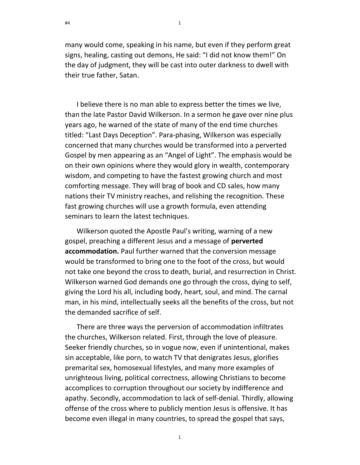many would come, speaking in his name, but even if they perform great signs, healing, casting out demons, He said: "I did not know them!" On the day of judgment, they will be cast into outer darkness to dwell with their true father, Satan.

I believe there is no man able to express better the times we live, than the late Pastor David Wilkerson. In a sermon he gave over nine plus years ago, he warned of the state of many of the end time churches titled: "Last Days Deception". Para-phasing, Wilkerson was especially concerned that many churches would be transformed into a perverted Gospel by men appearing as an "Angel of Light". The emphasis would be on their own opinions where they would glory in wealth, contemporary wisdom, and competing to have the fastest growing church and most comforting message. They will brag of book and CD sales, how many nations their TV ministry reaches, and relishing the recognition. These fast growing churches will use a growth formula, even attending seminars to learn the latest techniques.

Wilkerson quoted the Apostle Paul's writing, warning of a new gospel, preaching a different Jesus and a message of **perverted** accommodation. Paul further warned that the conversion message would be transformed to bring one to the foot of the cross, but would not take one beyond the cross to death, burial, and resurrection in Christ. Wilkerson warned God demands one go through the cross, dying to self, giving the Lord his all, including body, heart, soul, and mind. The carnal man, in his mind, intellectually seeks all the benefits of the cross, but not the demanded sacrifice of self.

There are three ways the perversion of accommodation infiltrates the churches, Wilkerson related. First, through the love of pleasure. Seeker friendly churches, so in vogue now, even if unintentional, makes sin acceptable, like porn, to watch TV that denigrates Jesus, glorifies premarital sex, homosexual lifestyles, and many more examples of unrighteous living, political correctness, allowing Christians to become accomplices to corruption throughout our society by indifference and apathy. Secondly, accommodation to lack of self-denial. Thirdly, allowing offense of the cross where to publicly mention Jesus is offensive. It has become even illegal in many countries, to spread the gospel that says,

 $\mathbf{1}$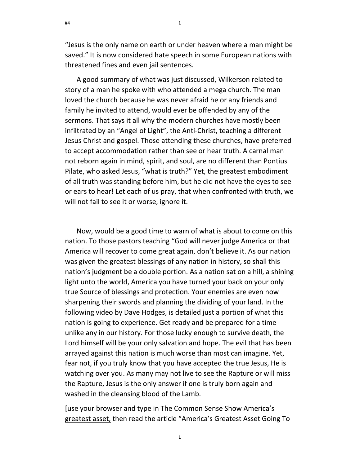14

"Jesus is the only name on earth or under heaven where a man might be saved." It is now considered hate speech in some European nations with threatened fines and even jail sentences.

A good summary of what was just discussed, Wilkerson related to story of a man he spoke with who attended a mega church. The man loved the church because he was never afraid he or any friends and family he invited to attend, would ever be offended by any of the sermons. That says it all why the modern churches have mostly been infiltrated by an "Angel of Light", the Anti-Christ, teaching a different Jesus Christ and gospel. Those attending these churches, have preferred to accept accommodation rather than see or hear truth. A carnal man not reborn again in mind, spirit, and soul, are no different than Pontius Pilate, who asked Jesus, "what is truth?" Yet, the greatest embodiment of all truth was standing before him, but he did not have the eyes to see or ears to hear! Let each of us pray, that when confronted with truth, we will not fail to see it or worse, ignore it.

Now, would be a good time to warn of what is about to come on this nation. To those pastors teaching "God will never judge America or that America will recover to come great again, don't believe it. As our nation was given the greatest blessings of any nation in history, so shall this nation's judgment be a double portion. As a nation sat on a hill, a shining light unto the world, America you have turned your back on your only true Source of blessings and protection. Your enemies are even now sharpening their swords and planning the dividing of your land. In the following video by Dave Hodges, is detailed just a portion of what this nation is going to experience. Get ready and be prepared for a time unlike any in our history. For those lucky enough to survive death, the Lord himself will be your only salvation and hope. The evil that has been arrayed against this nation is much worse than most can imagine. Yet, fear not, if you truly know that you have accepted the true Jesus, He is watching over you. As many may not live to see the Rapture or will miss the Rapture, Jesus is the only answer if one is truly born again and washed in the cleansing blood of the Lamb.

[use your browser and type in The Common Sense Show America's greatest asset, then read the article "America's Greatest Asset Going To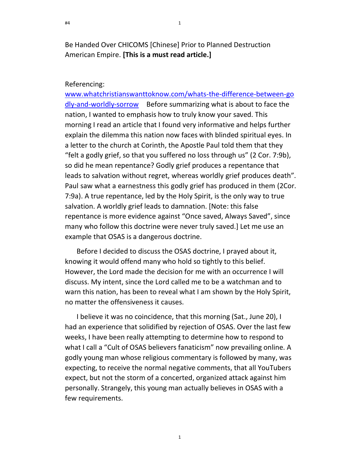Be Handed Over CHICOMS [Chinese] Prior to Planned Destruction American Empire. [This is a must read article.]

### Referencing:

www.whatchristianswanttoknow.com/whats-the-difference-between-go dly-and-worldly-sorrow Before summarizing what is about to face the nation, I wanted to emphasis how to truly know your saved. This morning I read an article that I found very informative and helps further explain the dilemma this nation now faces with blinded spiritual eyes. In a letter to the church at Corinth, the Apostle Paul told them that they "felt a godly grief, so that you suffered no loss through us" (2 Cor. 7:9b), so did he mean repentance? Godly grief produces a repentance that leads to salvation without regret, whereas worldly grief produces death". Paul saw what a earnestness this godly grief has produced in them (2Cor. 7:9a). A true repentance, led by the Holy Spirit, is the only way to true salvation. A worldly grief leads to damnation. [Note: this false repentance is more evidence against "Once saved, Always Saved", since many who follow this doctrine were never truly saved.] Let me use an example that OSAS is a dangerous doctrine.

Before I decided to discuss the OSAS doctrine, I prayed about it, knowing it would offend many who hold so tightly to this belief. However, the Lord made the decision for me with an occurrence I will discuss. My intent, since the Lord called me to be a watchman and to warn this nation, has been to reveal what I am shown by the Holy Spirit, no matter the offensiveness it causes.

I believe it was no coincidence, that this morning (Sat., June 20), I had an experience that solidified by rejection of OSAS. Over the last few weeks, I have been really attempting to determine how to respond to what I call a "Cult of OSAS believers fanaticism" now prevailing online. A godly young man whose religious commentary is followed by many, was expecting, to receive the normal negative comments, that all YouTubers expect, but not the storm of a concerted, organized attack against him personally. Strangely, this young man actually believes in OSAS with a few requirements.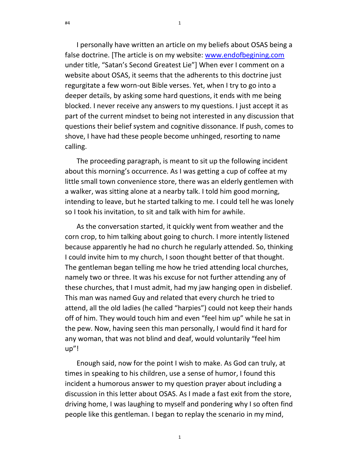I personally have written an article on my beliefs about OSAS being a false doctrine. [The article is on my website: www.endofbegining.com under title, "Satan's Second Greatest Lie"] When ever I comment on a website about OSAS, it seems that the adherents to this doctrine just regurgitate a few worn-out Bible verses. Yet, when I try to go into a deeper details, by asking some hard questions, it ends with me being blocked. I never receive any answers to my questions. I just accept it as part of the current mindset to being not interested in any discussion that questions their belief system and cognitive dissonance. If push, comes to shove, I have had these people become unhinged, resorting to name calling.

The proceeding paragraph, is meant to sit up the following incident about this morning's occurrence. As I was getting a cup of coffee at my little small town convenience store, there was an elderly gentlemen with a walker, was sitting alone at a nearby talk. I told him good morning, intending to leave, but he started talking to me. I could tell he was lonely so I took his invitation, to sit and talk with him for awhile.

As the conversation started, it quickly went from weather and the corn crop, to him talking about going to church. I more intently listened because apparently he had no church he regularly attended. So, thinking I could invite him to my church, I soon thought better of that thought. The gentleman began telling me how he tried attending local churches, namely two or three. It was his excuse for not further attending any of these churches, that I must admit, had my jaw hanging open in disbelief. This man was named Guy and related that every church he tried to attend, all the old ladies (he called "harpies") could not keep their hands off of him. They would touch him and even "feel him up" while he sat in the pew. Now, having seen this man personally, I would find it hard for any woman, that was not blind and deaf, would voluntarily "feel him up"!

Enough said, now for the point I wish to make. As God can truly, at times in speaking to his children, use a sense of humor, I found this incident a humorous answer to my question prayer about including a discussion in this letter about OSAS. As I made a fast exit from the store, driving home, I was laughing to myself and pondering why I so often find people like this gentleman. I began to replay the scenario in my mind,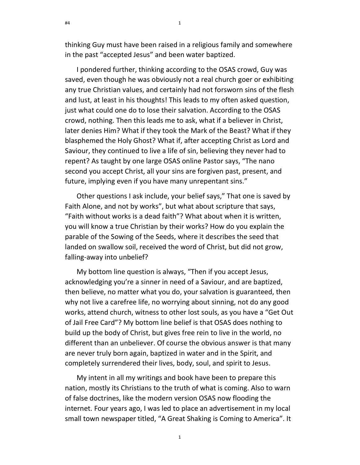thinking Guy must have been raised in a religious family and somewhere in the past "accepted Jesus" and been water baptized.

I pondered further, thinking according to the OSAS crowd, Guy was saved, even though he was obviously not a real church goer or exhibiting any true Christian values, and certainly had not forsworn sins of the flesh and lust, at least in his thoughts! This leads to my often asked question, just what could one do to lose their salvation. According to the OSAS crowd, nothing. Then this leads me to ask, what if a believer in Christ, later denies Him? What if they took the Mark of the Beast? What if they blasphemed the Holy Ghost? What if, after accepting Christ as Lord and Saviour, they continued to live a life of sin, believing they never had to repent? As taught by one large OSAS online Pastor says, "The nano second you accept Christ, all your sins are forgiven past, present, and future, implying even if you have many unrepentant sins."

Other questions I ask include, your belief says," That one is saved by Faith Alone, and not by works", but what about scripture that says, "Faith without works is a dead faith"? What about when it is written, you will know a true Christian by their works? How do you explain the parable of the Sowing of the Seeds, where it describes the seed that landed on swallow soil, received the word of Christ, but did not grow, falling-away into unbelief?

My bottom line question is always, "Then if you accept Jesus, acknowledging you're a sinner in need of a Saviour, and are baptized, then believe, no matter what you do, your salvation is guaranteed, then why not live a carefree life, no worrying about sinning, not do any good works, attend church, witness to other lost souls, as you have a "Get Out of Jail Free Card"? My bottom line belief is that OSAS does nothing to build up the body of Christ, but gives free rein to live in the world, no different than an unbeliever. Of course the obvious answer is that many are never truly born again, baptized in water and in the Spirit, and completely surrendered their lives, body, soul, and spirit to Jesus.

My intent in all my writings and book have been to prepare this nation, mostly its Christians to the truth of what is coming. Also to warn of false doctrines, like the modern version OSAS now flooding the internet. Four years ago, I was led to place an advertisement in my local small town newspaper titled, "A Great Shaking is Coming to America". It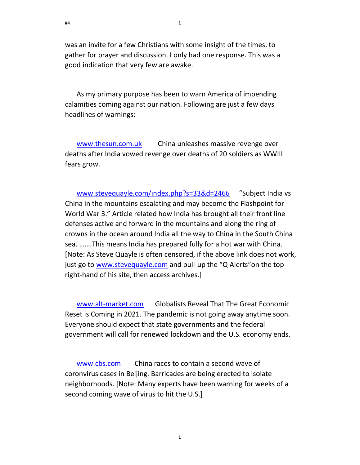was an invite for a few Christians with some insight of the times, to gather for prayer and discussion. I only had one response. This was a good indication that very few are awake.

As my primary purpose has been to warn America of impending calamities coming against our nation. Following are just a few days headlines of warnings:

www.thesun.com.uk China unleashes massive revenge over deaths after India vowed revenge over deaths of 20 soldiers as WWIII fears grow.

www.stevequayle.com/index.php?s=33&d=2466 "Subject India vs China in the mountains escalating and may become the Flashpoint for World War 3." Article related how India has brought all their front line defenses active and forward in the mountains and along the ring of crowns in the ocean around India all the way to China in the South China sea. …….This means India has prepared fully for a hot war with China. [Note: As Steve Quayle is often censored, if the above link does not work, just go to www.stevequayle.com and pull-up the "Q Alerts" on the top right-hand of his site, then access archives.]

www.alt-market.com Globalists Reveal That The Great Economic Reset is Coming in 2021. The pandemic is not going away anytime soon. Everyone should expect that state governments and the federal government will call for renewed lockdown and the U.S. economy ends.

www.cbs.com China races to contain a second wave of coronvirus cases in Beijing. Barricades are being erected to isolate neighborhoods. [Note: Many experts have been warning for weeks of a second coming wave of virus to hit the U.S.]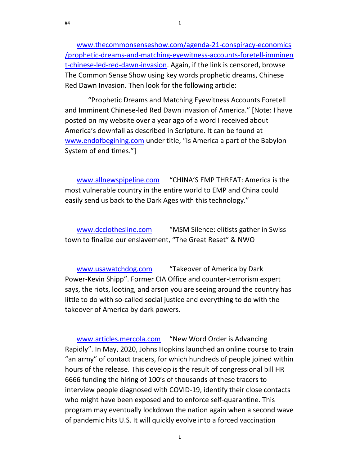www.thecommonsenseshow.com/agenda-21-conspiracy-economics /prophetic-dreams-and-matching-eyewitness-accounts-foretell-imminen t-chinese-led-red-dawn-invasion. Again, if the link is censored, browse The Common Sense Show using key words prophetic dreams, Chinese Red Dawn Invasion. Then look for the following article:

 "Prophetic Dreams and Matching Eyewitness Accounts Foretell and Imminent Chinese-led Red Dawn invasion of America." [Note: I have posted on my website over a year ago of a word I received about America's downfall as described in Scripture. It can be found at www.endofbegining.com under title, "Is America a part of the Babylon System of end times."]

www.allnewspipeline.com "CHINA'S EMP THREAT: America is the most vulnerable country in the entire world to EMP and China could easily send us back to the Dark Ages with this technology."

www.dcclothesline.com "MSM Silence: elitists gather in Swiss town to finalize our enslavement, "The Great Reset" & NWO

www.usawatchdog.com "Takeover of America by Dark Power-Kevin Shipp". Former CIA Office and counter-terrorism expert says, the riots, looting, and arson you are seeing around the country has little to do with so-called social justice and everything to do with the takeover of America by dark powers.

www.articles.mercola.com "New Word Order is Advancing Rapidly". In May, 2020, Johns Hopkins launched an online course to train "an army" of contact tracers, for which hundreds of people joined within hours of the release. This develop is the result of congressional bill HR 6666 funding the hiring of 100's of thousands of these tracers to interview people diagnosed with COVID-19, identify their close contacts who might have been exposed and to enforce self-quarantine. This program may eventually lockdown the nation again when a second wave of pandemic hits U.S. It will quickly evolve into a forced vaccination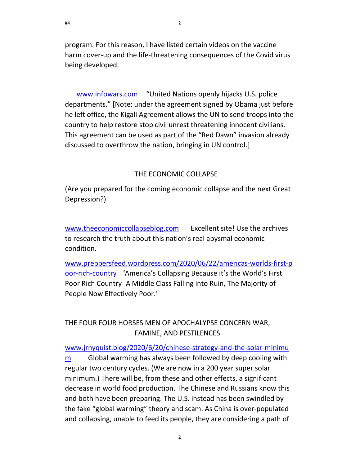program. For this reason, I have listed certain videos on the vaccine harm cover-up and the life-threatening consequences of the Covid virus being developed.

www.infowars.com "United Nations openly hijacks U.S. police departments." [Note: under the agreement signed by Obama just before he left office, the Kigali Agreement allows the UN to send troops into the country to help restore stop civil unrest threatening innocent civilians. This agreement can be used as part of the "Red Dawn" invasion already discussed to overthrow the nation, bringing in UN control.]

### THE ECONOMIC COLLAPSE

(Are you prepared for the coming economic collapse and the next Great Depression?)

www.theeconomiccollapseblog.com Excellent site! Use the archives to research the truth about this nation's real abysmal economic condition.

www.preppersfeed.wordpress.com/2020/06/22/americas-worlds-first-p oor-rich-country 'America's Collapsing Because it's the World's First Poor Rich Country- A Middle Class Falling into Ruin, The Majority of People Now Effectively Poor.'

# THE FOUR FOUR HORSES MEN OF APOCHALYPSE CONCERN WAR, FAMINE, AND PESTILENCES

www.jrnyquist.blog/2020/6/20/chinese-strategy-and-the-solar-minimu

m Global warming has always been followed by deep cooling with regular two century cycles. (We are now in a 200 year super solar minimum.) There will be, from these and other effects, a significant decrease in world food production. The Chinese and Russians know this and both have been preparing. The U.S. instead has been swindled by the fake "global warming" theory and scam. As China is over-populated and collapsing, unable to feed its people, they are considering a path of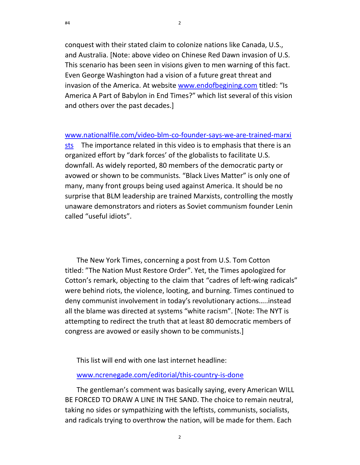conquest with their stated claim to colonize nations like Canada, U.S., and Australia. [Note: above video on Chinese Red Dawn invasion of U.S. This scenario has been seen in visions given to men warning of this fact. Even George Washington had a vision of a future great threat and invasion of the America. At website www.endofbegining.com titled: "Is America A Part of Babylon in End Times?" which list several of this vision and others over the past decades.]

21

www.nationalfile.com/video-blm-co-founder-says-we-are-trained-marxi sts The importance related in this video is to emphasis that there is an organized effort by "dark forces' of the globalists to facilitate U.S. downfall. As widely reported, 80 members of the democratic party or avowed or shown to be communists. "Black Lives Matter" is only one of many, many front groups being used against America. It should be no surprise that BLM leadership are trained Marxists, controlling the mostly unaware demonstrators and rioters as Soviet communism founder Lenin called "useful idiots".

The New York Times, concerning a post from U.S. Tom Cotton titled: "The Nation Must Restore Order". Yet, the Times apologized for Cotton's remark, objecting to the claim that "cadres of left-wing radicals" were behind riots, the violence, looting, and burning. Times continued to deny communist involvement in today's revolutionary actions…..instead all the blame was directed at systems "white racism". [Note: The NYT is attempting to redirect the truth that at least 80 democratic members of congress are avowed or easily shown to be communists.]

This list will end with one last internet headline:

#### www.ncrenegade.com/editorial/this-country-is-done

The gentleman's comment was basically saying, every American WILL BE FORCED TO DRAW A LINE IN THE SAND. The choice to remain neutral, taking no sides or sympathizing with the leftists, communists, socialists, and radicals trying to overthrow the nation, will be made for them. Each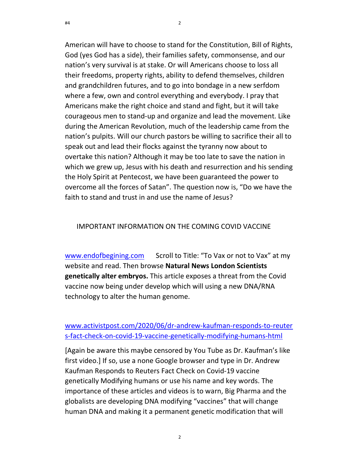#4

American will have to choose to stand for the Constitution, Bill of Rights, God (yes God has a side), their families safety, commonsense, and our nation's very survival is at stake. Or will Americans choose to loss all their freedoms, property rights, ability to defend themselves, children and grandchildren futures, and to go into bondage in a new serfdom where a few, own and control everything and everybody. I pray that Americans make the right choice and stand and fight, but it will take courageous men to stand-up and organize and lead the movement. Like during the American Revolution, much of the leadership came from the nation's pulpits. Will our church pastors be willing to sacrifice their all to speak out and lead their flocks against the tyranny now about to overtake this nation? Although it may be too late to save the nation in which we grew up, Jesus with his death and resurrection and his sending the Holy Spirit at Pentecost, we have been guaranteed the power to overcome all the forces of Satan". The question now is, "Do we have the faith to stand and trust in and use the name of Jesus?

### IMPORTANT INFORMATION ON THE COMING COVID VACCINE

www.endofbegining.com Scroll to Title: "To Vax or not to Vax" at my website and read. Then browse Natural News London Scientists genetically alter embryos. This article exposes a threat from the Covid vaccine now being under develop which will using a new DNA/RNA technology to alter the human genome.

# www.activistpost.com/2020/06/dr-andrew-kaufman-responds-to-reuter s-fact-check-on-covid-19-vaccine-genetically-modifying-humans-html

[Again be aware this maybe censored by You Tube as Dr. Kaufman's like first video.] If so, use a none Google browser and type in Dr. Andrew Kaufman Responds to Reuters Fact Check on Covid-19 vaccine genetically Modifying humans or use his name and key words. The importance of these articles and videos is to warn, Big Pharma and the globalists are developing DNA modifying "vaccines" that will change human DNA and making it a permanent genetic modification that will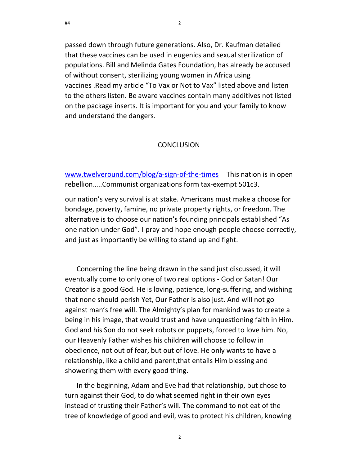passed down through future generations. Also, Dr. Kaufman detailed that these vaccines can be used in eugenics and sexual sterilization of populations. Bill and Melinda Gates Foundation, has already be accused of without consent, sterilizing young women in Africa using vaccines .Read my article "To Vax or Not to Vax" listed above and listen to the others listen. Be aware vaccines contain many additives not listed on the package inserts. It is important for you and your family to know and understand the dangers.

23

### **CONCLUSION**

www.twelveround.com/blog/a-sign-of-the-times This nation is in open rebellion…..Communist organizations form tax-exempt 501c3.

our nation's very survival is at stake. Americans must make a choose for bondage, poverty, famine, no private property rights, or freedom. The alternative is to choose our nation's founding principals established "As one nation under God". I pray and hope enough people choose correctly, and just as importantly be willing to stand up and fight.

Concerning the line being drawn in the sand just discussed, it will eventually come to only one of two real options - God or Satan! Our Creator is a good God. He is loving, patience, long-suffering, and wishing that none should perish Yet, Our Father is also just. And will not go against man's free will. The Almighty's plan for mankind was to create a being in his image, that would trust and have unquestioning faith in Him. God and his Son do not seek robots or puppets, forced to love him. No, our Heavenly Father wishes his children will choose to follow in obedience, not out of fear, but out of love. He only wants to have a relationship, like a child and parent,that entails Him blessing and showering them with every good thing.

In the beginning, Adam and Eve had that relationship, but chose to turn against their God, to do what seemed right in their own eyes instead of trusting their Father's will. The command to not eat of the tree of knowledge of good and evil, was to protect his children, knowing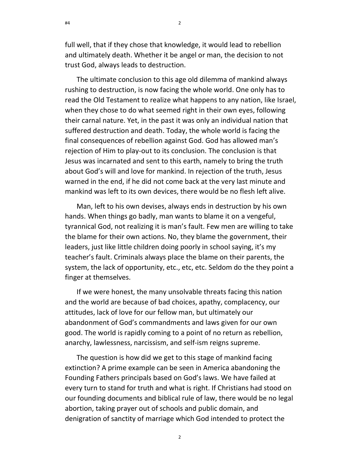24

full well, that if they chose that knowledge, it would lead to rebellion and ultimately death. Whether it be angel or man, the decision to not trust God, always leads to destruction.

The ultimate conclusion to this age old dilemma of mankind always rushing to destruction, is now facing the whole world. One only has to read the Old Testament to realize what happens to any nation, like Israel, when they chose to do what seemed right in their own eyes, following their carnal nature. Yet, in the past it was only an individual nation that suffered destruction and death. Today, the whole world is facing the final consequences of rebellion against God. God has allowed man's rejection of Him to play-out to its conclusion. The conclusion is that Jesus was incarnated and sent to this earth, namely to bring the truth about God's will and love for mankind. In rejection of the truth, Jesus warned in the end, if he did not come back at the very last minute and mankind was left to its own devices, there would be no flesh left alive.

Man, left to his own devises, always ends in destruction by his own hands. When things go badly, man wants to blame it on a vengeful, tyrannical God, not realizing it is man's fault. Few men are willing to take the blame for their own actions. No, they blame the government, their leaders, just like little children doing poorly in school saying, it's my teacher's fault. Criminals always place the blame on their parents, the system, the lack of opportunity, etc., etc, etc. Seldom do the they point a finger at themselves.

If we were honest, the many unsolvable threats facing this nation and the world are because of bad choices, apathy, complacency, our attitudes, lack of love for our fellow man, but ultimately our abandonment of God's commandments and laws given for our own good. The world is rapidly coming to a point of no return as rebellion, anarchy, lawlessness, narcissism, and self-ism reigns supreme.

The question is how did we get to this stage of mankind facing extinction? A prime example can be seen in America abandoning the Founding Fathers principals based on God's laws. We have failed at every turn to stand for truth and what is right. If Christians had stood on our founding documents and biblical rule of law, there would be no legal abortion, taking prayer out of schools and public domain, and denigration of sanctity of marriage which God intended to protect the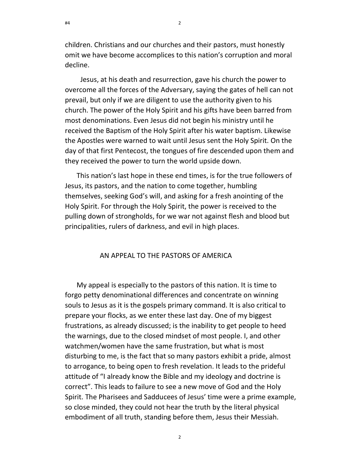children. Christians and our churches and their pastors, must honestly omit we have become accomplices to this nation's corruption and moral decline.

 Jesus, at his death and resurrection, gave his church the power to overcome all the forces of the Adversary, saying the gates of hell can not prevail, but only if we are diligent to use the authority given to his church. The power of the Holy Spirit and his gifts have been barred from most denominations. Even Jesus did not begin his ministry until he received the Baptism of the Holy Spirit after his water baptism. Likewise the Apostles were warned to wait until Jesus sent the Holy Spirit. On the day of that first Pentecost, the tongues of fire descended upon them and they received the power to turn the world upside down.

This nation's last hope in these end times, is for the true followers of Jesus, its pastors, and the nation to come together, humbling themselves, seeking God's will, and asking for a fresh anointing of the Holy Spirit. For through the Holy Spirit, the power is received to the pulling down of strongholds, for we war not against flesh and blood but principalities, rulers of darkness, and evil in high places.

### AN APPEAL TO THE PASTORS OF AMERICA

My appeal is especially to the pastors of this nation. It is time to forgo petty denominational differences and concentrate on winning souls to Jesus as it is the gospels primary command. It is also critical to prepare your flocks, as we enter these last day. One of my biggest frustrations, as already discussed; is the inability to get people to heed the warnings, due to the closed mindset of most people. I, and other watchmen/women have the same frustration, but what is most disturbing to me, is the fact that so many pastors exhibit a pride, almost to arrogance, to being open to fresh revelation. It leads to the prideful attitude of "I already know the Bible and my ideology and doctrine is correct". This leads to failure to see a new move of God and the Holy Spirit. The Pharisees and Sadducees of Jesus' time were a prime example, so close minded, they could not hear the truth by the literal physical embodiment of all truth, standing before them, Jesus their Messiah.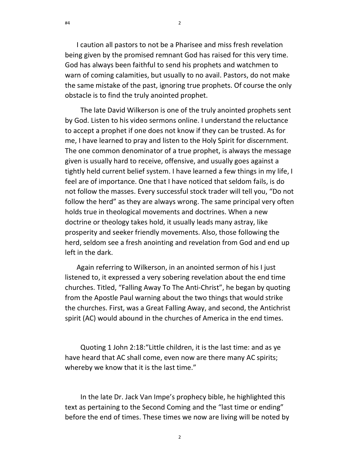I caution all pastors to not be a Pharisee and miss fresh revelation being given by the promised remnant God has raised for this very time. God has always been faithful to send his prophets and watchmen to warn of coming calamities, but usually to no avail. Pastors, do not make the same mistake of the past, ignoring true prophets. Of course the only obstacle is to find the truly anointed prophet.

26

 The late David Wilkerson is one of the truly anointed prophets sent by God. Listen to his video sermons online. I understand the reluctance to accept a prophet if one does not know if they can be trusted. As for me, I have learned to pray and listen to the Holy Spirit for discernment. The one common denominator of a true prophet, is always the message given is usually hard to receive, offensive, and usually goes against a tightly held current belief system. I have learned a few things in my life, I feel are of importance. One that I have noticed that seldom fails, is do not follow the masses. Every successful stock trader will tell you, "Do not follow the herd" as they are always wrong. The same principal very often holds true in theological movements and doctrines. When a new doctrine or theology takes hold, it usually leads many astray, like prosperity and seeker friendly movements. Also, those following the herd, seldom see a fresh anointing and revelation from God and end up left in the dark.

Again referring to Wilkerson, in an anointed sermon of his I just listened to, it expressed a very sobering revelation about the end time churches. Titled, "Falling Away To The Anti-Christ", he began by quoting from the Apostle Paul warning about the two things that would strike the churches. First, was a Great Falling Away, and second, the Antichrist spirit (AC) would abound in the churches of America in the end times.

 Quoting 1 John 2:18:"Little children, it is the last time: and as ye have heard that AC shall come, even now are there many AC spirits; whereby we know that it is the last time."

 In the late Dr. Jack Van Impe's prophecy bible, he highlighted this text as pertaining to the Second Coming and the "last time or ending" before the end of times. These times we now are living will be noted by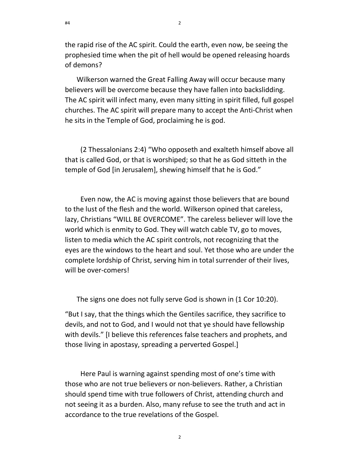the rapid rise of the AC spirit. Could the earth, even now, be seeing the prophesied time when the pit of hell would be opened releasing hoards of demons?

Wilkerson warned the Great Falling Away will occur because many believers will be overcome because they have fallen into backslidding. The AC spirit will infect many, even many sitting in spirit filled, full gospel churches. The AC spirit will prepare many to accept the Anti-Christ when he sits in the Temple of God, proclaiming he is god.

 (2 Thessalonians 2:4) "Who opposeth and exalteth himself above all that is called God, or that is worshiped; so that he as God sitteth in the temple of God [in Jerusalem], shewing himself that he is God."

 Even now, the AC is moving against those believers that are bound to the lust of the flesh and the world. Wilkerson opined that careless, lazy, Christians "WILL BE OVERCOME". The careless believer will love the world which is enmity to God. They will watch cable TV, go to moves, listen to media which the AC spirit controls, not recognizing that the eyes are the windows to the heart and soul. Yet those who are under the complete lordship of Christ, serving him in total surrender of their lives, will be over-comers!

The signs one does not fully serve God is shown in (1 Cor 10:20).

"But I say, that the things which the Gentiles sacrifice, they sacrifice to devils, and not to God, and I would not that ye should have fellowship with devils." [I believe this references false teachers and prophets, and those living in apostasy, spreading a perverted Gospel.]

 Here Paul is warning against spending most of one's time with those who are not true believers or non-believers. Rather, a Christian should spend time with true followers of Christ, attending church and not seeing it as a burden. Also, many refuse to see the truth and act in accordance to the true revelations of the Gospel.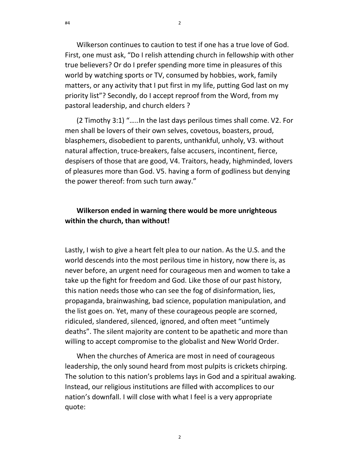Wilkerson continues to caution to test if one has a true love of God. First, one must ask, "Do I relish attending church in fellowship with other true believers? Or do I prefer spending more time in pleasures of this world by watching sports or TV, consumed by hobbies, work, family matters, or any activity that I put first in my life, putting God last on my priority list"? Secondly, do I accept reproof from the Word, from my pastoral leadership, and church elders ?

(2 Timothy 3:1) "…..In the last days perilous times shall come. V2. For men shall be lovers of their own selves, covetous, boasters, proud, blasphemers, disobedient to parents, unthankful, unholy, V3. without natural affection, truce-breakers, false accusers, incontinent, fierce, despisers of those that are good, V4. Traitors, heady, highminded, lovers of pleasures more than God. V5. having a form of godliness but denying the power thereof: from such turn away."

# Wilkerson ended in warning there would be more unrighteous within the church, than without!

Lastly, I wish to give a heart felt plea to our nation. As the U.S. and the world descends into the most perilous time in history, now there is, as never before, an urgent need for courageous men and women to take a take up the fight for freedom and God. Like those of our past history, this nation needs those who can see the fog of disinformation, lies, propaganda, brainwashing, bad science, population manipulation, and the list goes on. Yet, many of these courageous people are scorned, ridiculed, slandered, silenced, ignored, and often meet "untimely deaths". The silent majority are content to be apathetic and more than willing to accept compromise to the globalist and New World Order.

When the churches of America are most in need of courageous leadership, the only sound heard from most pulpits is crickets chirping. The solution to this nation's problems lays in God and a spiritual awaking. Instead, our religious institutions are filled with accomplices to our nation's downfall. I will close with what I feel is a very appropriate quote: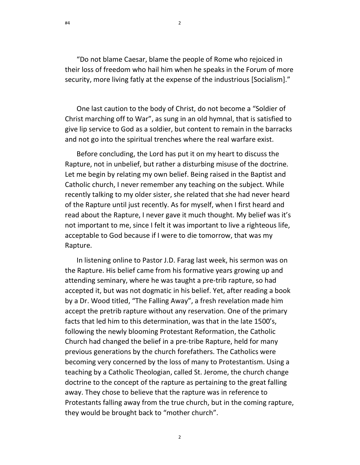"Do not blame Caesar, blame the people of Rome who rejoiced in their loss of freedom who hail him when he speaks in the Forum of more security, more living fatly at the expense of the industrious [Socialism]."

One last caution to the body of Christ, do not become a "Soldier of Christ marching off to War", as sung in an old hymnal, that is satisfied to give lip service to God as a soldier, but content to remain in the barracks and not go into the spiritual trenches where the real warfare exist.

Before concluding, the Lord has put it on my heart to discuss the Rapture, not in unbelief, but rather a disturbing misuse of the doctrine. Let me begin by relating my own belief. Being raised in the Baptist and Catholic church, I never remember any teaching on the subject. While recently talking to my older sister, she related that she had never heard of the Rapture until just recently. As for myself, when I first heard and read about the Rapture, I never gave it much thought. My belief was it's not important to me, since I felt it was important to live a righteous life, acceptable to God because if I were to die tomorrow, that was my Rapture.

In listening online to Pastor J.D. Farag last week, his sermon was on the Rapture. His belief came from his formative years growing up and attending seminary, where he was taught a pre-trib rapture, so had accepted it, but was not dogmatic in his belief. Yet, after reading a book by a Dr. Wood titled, "The Falling Away", a fresh revelation made him accept the pretrib rapture without any reservation. One of the primary facts that led him to this determination, was that in the late 1500's, following the newly blooming Protestant Reformation, the Catholic Church had changed the belief in a pre-tribe Rapture, held for many previous generations by the church forefathers. The Catholics were becoming very concerned by the loss of many to Protestantism. Using a teaching by a Catholic Theologian, called St. Jerome, the church change doctrine to the concept of the rapture as pertaining to the great falling away. They chose to believe that the rapture was in reference to Protestants falling away from the true church, but in the coming rapture, they would be brought back to "mother church".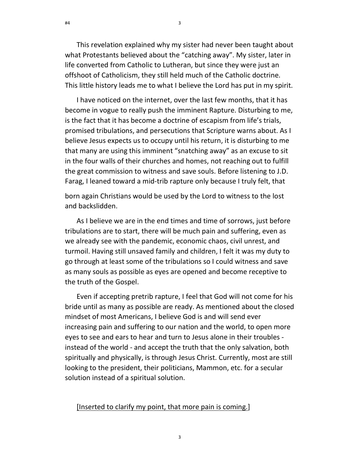This revelation explained why my sister had never been taught about what Protestants believed about the "catching away". My sister, later in life converted from Catholic to Lutheran, but since they were just an offshoot of Catholicism, they still held much of the Catholic doctrine. This little history leads me to what I believe the Lord has put in my spirit.

30

I have noticed on the internet, over the last few months, that it has become in vogue to really push the imminent Rapture. Disturbing to me, is the fact that it has become a doctrine of escapism from life's trials, promised tribulations, and persecutions that Scripture warns about. As I believe Jesus expects us to occupy until his return, it is disturbing to me that many are using this imminent "snatching away" as an excuse to sit in the four walls of their churches and homes, not reaching out to fulfill the great commission to witness and save souls. Before listening to J.D. Farag, I leaned toward a mid-trib rapture only because I truly felt, that

born again Christians would be used by the Lord to witness to the lost and backslidden.

As I believe we are in the end times and time of sorrows, just before tribulations are to start, there will be much pain and suffering, even as we already see with the pandemic, economic chaos, civil unrest, and turmoil. Having still unsaved family and children, I felt it was my duty to go through at least some of the tribulations so I could witness and save as many souls as possible as eyes are opened and become receptive to the truth of the Gospel.

Even if accepting pretrib rapture, I feel that God will not come for his bride until as many as possible are ready. As mentioned about the closed mindset of most Americans, I believe God is and will send ever increasing pain and suffering to our nation and the world, to open more eyes to see and ears to hear and turn to Jesus alone in their troubles instead of the world - and accept the truth that the only salvation, both spiritually and physically, is through Jesus Christ. Currently, most are still looking to the president, their politicians, Mammon, etc. for a secular solution instead of a spiritual solution.

#### [Inserted to clarify my point, that more pain is coming.]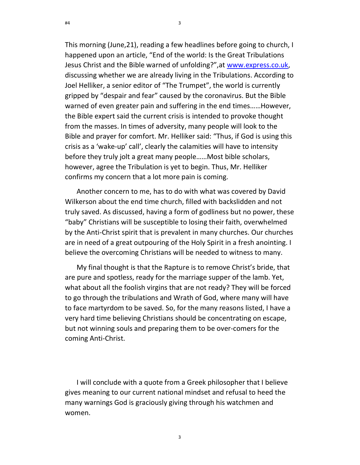This morning (June,21), reading a few headlines before going to church, I happened upon an article, "End of the world: Is the Great Tribulations Jesus Christ and the Bible warned of unfolding?",at www.express.co.uk, discussing whether we are already living in the Tribulations. According to Joel Helliker, a senior editor of "The Trumpet", the world is currently gripped by "despair and fear" caused by the coronavirus. But the Bible warned of even greater pain and suffering in the end times……However, the Bible expert said the current crisis is intended to provoke thought from the masses. In times of adversity, many people will look to the Bible and prayer for comfort. Mr. Helliker said: "Thus, if God is using this crisis as a 'wake-up' call', clearly the calamities will have to intensity before they truly jolt a great many people……Most bible scholars, however, agree the Tribulation is yet to begin. Thus, Mr. Helliker confirms my concern that a lot more pain is coming.

31

Another concern to me, has to do with what was covered by David Wilkerson about the end time church, filled with backslidden and not truly saved. As discussed, having a form of godliness but no power, these "baby" Christians will be susceptible to losing their faith, overwhelmed by the Anti-Christ spirit that is prevalent in many churches. Our churches are in need of a great outpouring of the Holy Spirit in a fresh anointing. I believe the overcoming Christians will be needed to witness to many.

My final thought is that the Rapture is to remove Christ's bride, that are pure and spotless, ready for the marriage supper of the lamb. Yet, what about all the foolish virgins that are not ready? They will be forced to go through the tribulations and Wrath of God, where many will have to face martyrdom to be saved. So, for the many reasons listed, I have a very hard time believing Christians should be concentrating on escape, but not winning souls and preparing them to be over-comers for the coming Anti-Christ.

I will conclude with a quote from a Greek philosopher that I believe gives meaning to our current national mindset and refusal to heed the many warnings God is graciously giving through his watchmen and women.